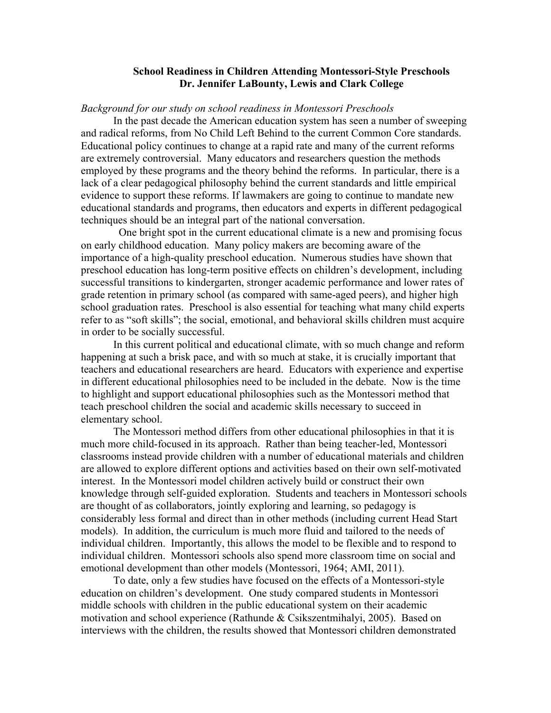## **School Readiness in Children Attending Montessori-Style Preschools Dr. Jennifer LaBounty, Lewis and Clark College**

## *Background for our study on school readiness in Montessori Preschools*

In the past decade the American education system has seen a number of sweeping and radical reforms, from No Child Left Behind to the current Common Core standards. Educational policy continues to change at a rapid rate and many of the current reforms are extremely controversial. Many educators and researchers question the methods employed by these programs and the theory behind the reforms. In particular, there is a lack of a clear pedagogical philosophy behind the current standards and little empirical evidence to support these reforms. If lawmakers are going to continue to mandate new educational standards and programs, then educators and experts in different pedagogical techniques should be an integral part of the national conversation.

 One bright spot in the current educational climate is a new and promising focus on early childhood education. Many policy makers are becoming aware of the importance of a high-quality preschool education. Numerous studies have shown that preschool education has long-term positive effects on children's development, including successful transitions to kindergarten, stronger academic performance and lower rates of grade retention in primary school (as compared with same-aged peers), and higher high school graduation rates. Preschool is also essential for teaching what many child experts refer to as "soft skills"; the social, emotional, and behavioral skills children must acquire in order to be socially successful.

In this current political and educational climate, with so much change and reform happening at such a brisk pace, and with so much at stake, it is crucially important that teachers and educational researchers are heard. Educators with experience and expertise in different educational philosophies need to be included in the debate. Now is the time to highlight and support educational philosophies such as the Montessori method that teach preschool children the social and academic skills necessary to succeed in elementary school.

The Montessori method differs from other educational philosophies in that it is much more child-focused in its approach. Rather than being teacher-led, Montessori classrooms instead provide children with a number of educational materials and children are allowed to explore different options and activities based on their own self-motivated interest. In the Montessori model children actively build or construct their own knowledge through self-guided exploration. Students and teachers in Montessori schools are thought of as collaborators, jointly exploring and learning, so pedagogy is considerably less formal and direct than in other methods (including current Head Start models). In addition, the curriculum is much more fluid and tailored to the needs of individual children. Importantly, this allows the model to be flexible and to respond to individual children. Montessori schools also spend more classroom time on social and emotional development than other models (Montessori, 1964; AMI, 2011).

To date, only a few studies have focused on the effects of a Montessori-style education on children's development. One study compared students in Montessori middle schools with children in the public educational system on their academic motivation and school experience (Rathunde & Csikszentmihalyi, 2005). Based on interviews with the children, the results showed that Montessori children demonstrated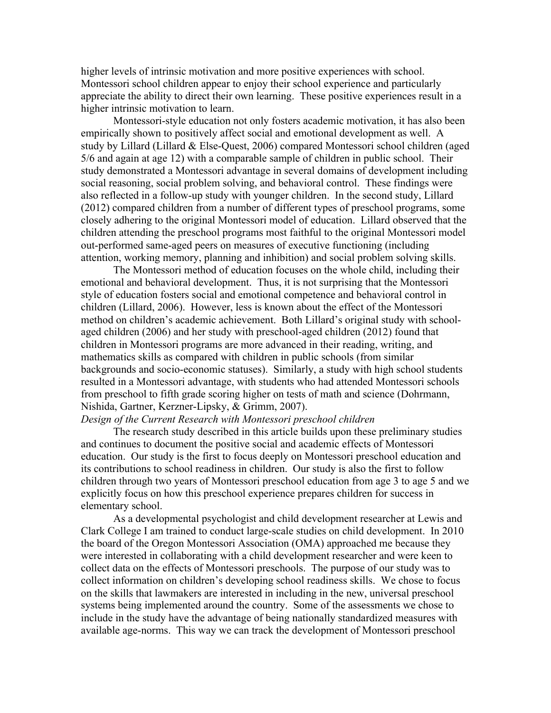higher levels of intrinsic motivation and more positive experiences with school. Montessori school children appear to enjoy their school experience and particularly appreciate the ability to direct their own learning. These positive experiences result in a higher intrinsic motivation to learn.

Montessori-style education not only fosters academic motivation, it has also been empirically shown to positively affect social and emotional development as well. A study by Lillard (Lillard & Else-Quest, 2006) compared Montessori school children (aged 5/6 and again at age 12) with a comparable sample of children in public school. Their study demonstrated a Montessori advantage in several domains of development including social reasoning, social problem solving, and behavioral control. These findings were also reflected in a follow-up study with younger children. In the second study, Lillard (2012) compared children from a number of different types of preschool programs, some closely adhering to the original Montessori model of education. Lillard observed that the children attending the preschool programs most faithful to the original Montessori model out-performed same-aged peers on measures of executive functioning (including attention, working memory, planning and inhibition) and social problem solving skills.

The Montessori method of education focuses on the whole child, including their emotional and behavioral development. Thus, it is not surprising that the Montessori style of education fosters social and emotional competence and behavioral control in children (Lillard, 2006). However, less is known about the effect of the Montessori method on children's academic achievement. Both Lillard's original study with schoolaged children (2006) and her study with preschool-aged children (2012) found that children in Montessori programs are more advanced in their reading, writing, and mathematics skills as compared with children in public schools (from similar backgrounds and socio-economic statuses). Similarly, a study with high school students resulted in a Montessori advantage, with students who had attended Montessori schools from preschool to fifth grade scoring higher on tests of math and science (Dohrmann, Nishida, Gartner, Kerzner-Lipsky, & Grimm, 2007).

## *Design of the Current Research with Montessori preschool children*

The research study described in this article builds upon these preliminary studies and continues to document the positive social and academic effects of Montessori education. Our study is the first to focus deeply on Montessori preschool education and its contributions to school readiness in children. Our study is also the first to follow children through two years of Montessori preschool education from age 3 to age 5 and we explicitly focus on how this preschool experience prepares children for success in elementary school.

As a developmental psychologist and child development researcher at Lewis and Clark College I am trained to conduct large-scale studies on child development. In 2010 the board of the Oregon Montessori Association (OMA) approached me because they were interested in collaborating with a child development researcher and were keen to collect data on the effects of Montessori preschools. The purpose of our study was to collect information on children's developing school readiness skills. We chose to focus on the skills that lawmakers are interested in including in the new, universal preschool systems being implemented around the country. Some of the assessments we chose to include in the study have the advantage of being nationally standardized measures with available age-norms. This way we can track the development of Montessori preschool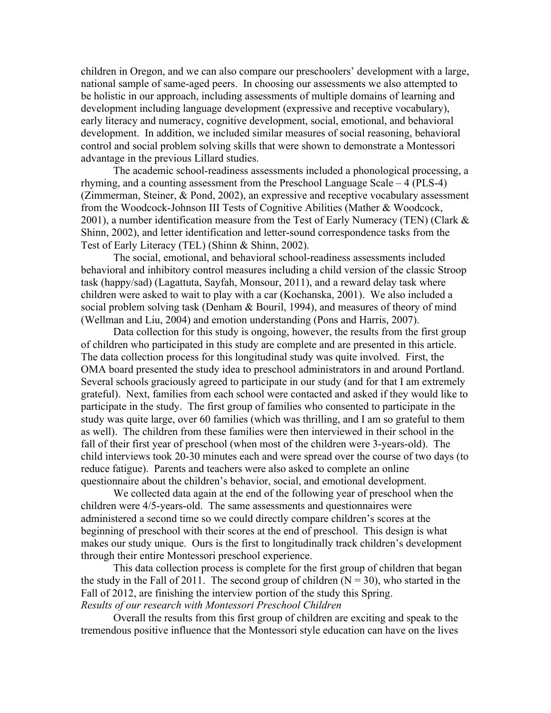children in Oregon, and we can also compare our preschoolers' development with a large, national sample of same-aged peers. In choosing our assessments we also attempted to be holistic in our approach, including assessments of multiple domains of learning and development including language development (expressive and receptive vocabulary), early literacy and numeracy, cognitive development, social, emotional, and behavioral development. In addition, we included similar measures of social reasoning, behavioral control and social problem solving skills that were shown to demonstrate a Montessori advantage in the previous Lillard studies.

The academic school-readiness assessments included a phonological processing, a rhyming, and a counting assessment from the Preschool Language Scale – 4 (PLS-4) (Zimmerman, Steiner, & Pond, 2002), an expressive and receptive vocabulary assessment from the Woodcock-Johnson III Tests of Cognitive Abilities (Mather & Woodcock, 2001), a number identification measure from the Test of Early Numeracy (TEN) (Clark  $\&$ Shinn, 2002), and letter identification and letter-sound correspondence tasks from the Test of Early Literacy (TEL) (Shinn & Shinn, 2002).

The social, emotional, and behavioral school-readiness assessments included behavioral and inhibitory control measures including a child version of the classic Stroop task (happy/sad) (Lagattuta, Sayfah, Monsour, 2011), and a reward delay task where children were asked to wait to play with a car (Kochanska, 2001). We also included a social problem solving task (Denham & Bouril, 1994), and measures of theory of mind (Wellman and Liu, 2004) and emotion understanding (Pons and Harris, 2007).

Data collection for this study is ongoing, however, the results from the first group of children who participated in this study are complete and are presented in this article. The data collection process for this longitudinal study was quite involved. First, the OMA board presented the study idea to preschool administrators in and around Portland. Several schools graciously agreed to participate in our study (and for that I am extremely grateful). Next, families from each school were contacted and asked if they would like to participate in the study. The first group of families who consented to participate in the study was quite large, over 60 families (which was thrilling, and I am so grateful to them as well). The children from these families were then interviewed in their school in the fall of their first year of preschool (when most of the children were 3-years-old). The child interviews took 20-30 minutes each and were spread over the course of two days (to reduce fatigue). Parents and teachers were also asked to complete an online questionnaire about the children's behavior, social, and emotional development.

We collected data again at the end of the following year of preschool when the children were 4/5-years-old. The same assessments and questionnaires were administered a second time so we could directly compare children's scores at the beginning of preschool with their scores at the end of preschool. This design is what makes our study unique. Ours is the first to longitudinally track children's development through their entire Montessori preschool experience.

This data collection process is complete for the first group of children that began the study in the Fall of 2011. The second group of children  $(N = 30)$ , who started in the Fall of 2012, are finishing the interview portion of the study this Spring. *Results of our research with Montessori Preschool Children*

Overall the results from this first group of children are exciting and speak to the tremendous positive influence that the Montessori style education can have on the lives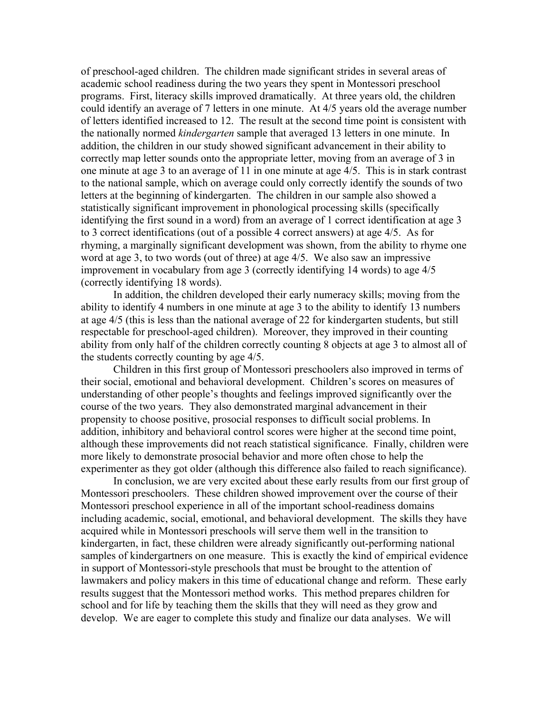of preschool-aged children. The children made significant strides in several areas of academic school readiness during the two years they spent in Montessori preschool programs. First, literacy skills improved dramatically. At three years old, the children could identify an average of 7 letters in one minute. At 4/5 years old the average number of letters identified increased to 12. The result at the second time point is consistent with the nationally normed *kindergarten* sample that averaged 13 letters in one minute. In addition, the children in our study showed significant advancement in their ability to correctly map letter sounds onto the appropriate letter, moving from an average of 3 in one minute at age 3 to an average of 11 in one minute at age 4/5. This is in stark contrast to the national sample, which on average could only correctly identify the sounds of two letters at the beginning of kindergarten. The children in our sample also showed a statistically significant improvement in phonological processing skills (specifically identifying the first sound in a word) from an average of 1 correct identification at age 3 to 3 correct identifications (out of a possible 4 correct answers) at age 4/5. As for rhyming, a marginally significant development was shown, from the ability to rhyme one word at age 3, to two words (out of three) at age 4/5. We also saw an impressive improvement in vocabulary from age 3 (correctly identifying 14 words) to age 4/5 (correctly identifying 18 words).

In addition, the children developed their early numeracy skills; moving from the ability to identify 4 numbers in one minute at age 3 to the ability to identify 13 numbers at age 4/5 (this is less than the national average of 22 for kindergarten students, but still respectable for preschool-aged children). Moreover, they improved in their counting ability from only half of the children correctly counting 8 objects at age 3 to almost all of the students correctly counting by age 4/5.

Children in this first group of Montessori preschoolers also improved in terms of their social, emotional and behavioral development. Children's scores on measures of understanding of other people's thoughts and feelings improved significantly over the course of the two years. They also demonstrated marginal advancement in their propensity to choose positive, prosocial responses to difficult social problems. In addition, inhibitory and behavioral control scores were higher at the second time point, although these improvements did not reach statistical significance. Finally, children were more likely to demonstrate prosocial behavior and more often chose to help the experimenter as they got older (although this difference also failed to reach significance).

In conclusion, we are very excited about these early results from our first group of Montessori preschoolers. These children showed improvement over the course of their Montessori preschool experience in all of the important school-readiness domains including academic, social, emotional, and behavioral development. The skills they have acquired while in Montessori preschools will serve them well in the transition to kindergarten, in fact, these children were already significantly out-performing national samples of kindergartners on one measure. This is exactly the kind of empirical evidence in support of Montessori-style preschools that must be brought to the attention of lawmakers and policy makers in this time of educational change and reform. These early results suggest that the Montessori method works. This method prepares children for school and for life by teaching them the skills that they will need as they grow and develop. We are eager to complete this study and finalize our data analyses. We will